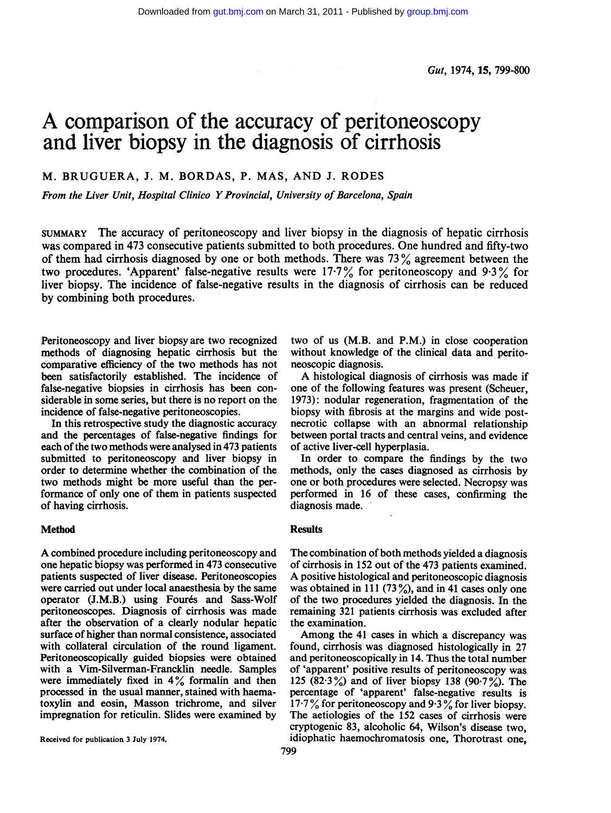# A comparison of the accuracy of peritoneoscopy and liver biopsy in the diagnosis of cirrhosis

# M. BRUGUERA, J. M. BORDAS, P. MAS, AND J. RODES

From the Liver Unit, Hospital Clinico YProvincial, University of Barcelona, Spain

SUMMARY The accuracy of peritoneoscopy and liver biopsy in the diagnosis of hepatic cirrhosis was compared in 473 consecutive patients submitted to both procedures. One hundred and fifty-two of them had cirrhosis diagnosed by one or both methods. There was  $73\%$  agreement between the two procedures. 'Apparent' false-negative results were  $17.7\%$  for peritoneoscopy and 9.3% for liver biopsy. The incidence of false-negative results in the diagnosis of cirrhosis can be reduced by combining both procedures.

Peritoneoscopy and liver biopsy are two recognized methods of diagnosing hepatic cirrhosis but the comparative efficiency of the two methods has not been satisfactorily established. The incidence of false-negative biopsies in cirrhosis has been considerable in some series, but there is no report on the incidence of false-negative peritoneoscopies.

In this retrospective study the diagnostic accuracy and the percentages of false-negative findings for each of the two methods were analysed in 473 patients submitted to peritoneoscopy and liver biopsy in order to determine whether the combination of the two methods might be more useful than the performance of only one of them in patients suspected of having cirrhosis.

## Method

A combined procedure including peritoneoscopy and one hepatic biopsy was performed in 473 consecutive patients suspected of liver disease. Peritoneoscopies were carried out under local anaesthesia by the same operator (J.M.B.) using Fourés and Sass-Wolf peritoneoscopes. Diagnosis of cirrhosis was made after the observation of a clearly nodular hepatic surface of higher than normal consistence, associated with collateral circulation of the round ligament. Peritoneoscopically guided biopsies were obtained with a Vim-Silverman-Francklin needle. Samples were immediately fixed in  $4\%$  formalin and then processed in the usual manner, stained with haematoxylin and eosin, Masson trichrome, and silver impregnation for reticulin. Slides were examined by

Received for publication 3 July 1974.

two of us (M.B. and P.M.) in close cooperation without knowledge of the clinical data and peritoneoscopic diagnosis.

A histological diagnosis of cirrhosis was made if one of the following features was present (Scheuer, 1973): nodular regeneration, fragmentation of the biopsy with fibrosis at the margins and wide postnecrotic collapse with an abnormal relationship between portal tracts and central veins, and evidence of active liver-cell hyperplasia.

In order to compare the findings by the two methods, only the cases diagnosed as cirrhosis by one or both procedures were selected. Necropsy was performed in 16 of these cases, confirming the diagnosis made.

## **Results**

The combination of both methods yielded a diagnosis of cirrhosis in 152 out of the 473 patients examined. A positive histological and peritoneoscopic diagnosis was obtained in 111 (73 $\frac{9}{2}$ ), and in 41 cases only one of the two procedures yielded the diagnosis. In the remaining 321 patients cirrhosis was excluded after the examination.

Among the 41 cases in which a discrepancy was found, cirrhosis was diagnosed histologically in 27 and peritoneoscopically in 14. Thus the total number of 'apparent' positive results of peritoneoscopy was 125 (82.3%) and of liver biopsy 138 (90.7%). The percentage of 'apparent' false-negative results is 17.7% for peritonescopy and 9.3% for liver biopsy. The aetiologies of the 152 cases of cirrhosis were cryptogenic 83, alcoholic 64, Wilson's disease two, idiophatic haemochromatosis one, Thorotrast one,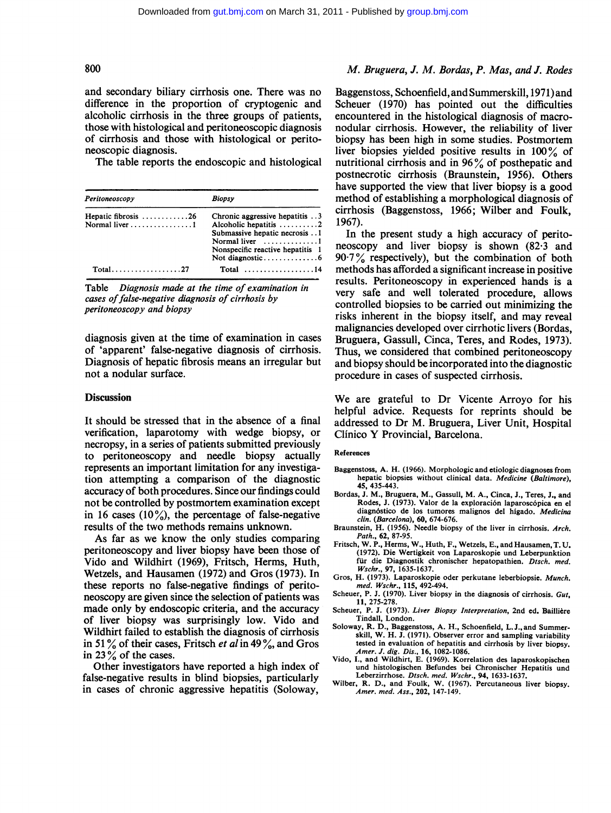and secondary biliary cirrhosis one. There was no difference in the proportion of cryptogenic and alcoholic cirrhosis in the three groups of patients, those with histological and peritoneoscopic diagnosis of cirrhosis and those with histological or peritoneoscopic diagnosis.

The table reports the endoscopic and histological

| Peritoneoscopy                                                      | <b>Biopsy</b>                                                                                                                                                        |
|---------------------------------------------------------------------|----------------------------------------------------------------------------------------------------------------------------------------------------------------------|
| Hepatic fibrosis $\ldots \ldots \ldots \ldots 26$<br>Normal liver 1 | Chronic aggressive hepatitis 3<br>Alcoholic hepatitis 2<br>Submassive hepatic necrosis 1<br>Normal liver $\dots\dots\dots\dots1$<br>Nonspecific reactive hepatitis 1 |
| $Total \dots \dots \dots \dots \dots \dots 27$                      | Total $\ldots \ldots \ldots \ldots \ldots 14$                                                                                                                        |

Table Diagnosis made at the time of examination in cases of false-negative diagnosis of cirrhosis by peritoneoscopy and biopsy

diagnosis given at the time of examination in cases of 'apparent' false-negative diagnosis of cirrhosis. Diagnosis of hepatic fibrosis means an irregular but not a nodular surface.

### **Discussion**

It should be stressed that in the absence of a final verification, laparotomy with wedge biopsy, or necropsy, in a series of patients submitted previously to peritoneoscopy and needle biopsy actually represents an important limitation for any investigation attempting a comparison of the diagnostic accuracy of both procedures. Since our findings could not be controlled by postmortem examination except in 16 cases (10%), the percentage of false-negative results of the two methods remains unknown.

As far as we know the only studies comparing peritoneoscopy and liver biopsy have been those of Vido and Wildhirt (1969), Fritsch, Herms, Huth, Wetzels, and Hausamen (1972) and Gros (1973). In these reports no false-negative findings of peritoneoscopy are given since the selection of patients was made only by endoscopic criteria, and the accuracy of liver biopsy was surprisingly low. Vido and Wildhirt failed to establish the diagnosis of cirrhosis in 51% of their cases, Fritsch *et al* in 49%, and Gros in <sup>23</sup> % of the cases.

Other investigators have reported a high index of false-negative results in blind biopsies, particularly in cases of chronic aggressive hepatitis (Soloway,

# 800 M. Bruguera, J. M. Bordas, P. Mas, and J. Rodes

Baggenstoss, Schoenfield, and Summerskill, 1971) and Scheuer (1970) has pointed out the difficulties encountered in the histological diagnosis of macronodular cirrhosis. However, the reliability of liver biopsy has been high in some studies. Postmortem liver biopsies yielded positive results in 100% of nutritional cirrhosis and in <sup>96</sup> % of posthepatic and postnecrotic cirrhosis (Braunstein, 1956). Others have supported the view that liver biopsy is a good method of establishing a morphological diagnosis of cirrhosis (Baggenstoss, 1966; Wilber and Foulk, 1967).

In the present study a high accuracy of peritoneoscopy and liver biopsy is shown (82'3 and  $90.7\%$  respectively), but the combination of both methods has afforded a significant increase in positive results. Peritoneoscopy in experienced hands is a very safe and well tolerated procedure, allows controlled biopsies to be carried out minimizing the risks inherent in the biopsy itself, and may reveal malignancies developed over cirrhotic livers (Bordas, Bruguera, Gassull, Cinca, Teres, and Rodes, 1973). Thus, we considered that combined peritoneoscopy and biopsy should be incorporated into the diagnostic procedure in cases of suspected cirrhosis.

We are grateful to Dr Vicente Arroyo for his helpful advice. Requests for reprints should be addressed to Dr M. Bruguera, Liver Unit, Hospital Clinico Y Provincial, Barcelona.

### References

- Baggenstoss, A. H. (1966). Morphologic and etiologic diagnoses from hepatic biopsies without clinical data. Medicine (Baltimore), 45, 435-443.
- Bordas, J. M., Bruguera, M., Gassull, M. A., Cinca, J., Teres, J., and Rodes, J. (1973). Valor de la exploración laparoscópica en el diagnóstico de los tumores malignos del higado. Medicina clin. (Barcelona), 60, 674-676.
- Braunstein, H. (1956). Needle biopsy of the liver in cirrhosis. Arch. Path., 62, 87-95.
- Fritsch, W. P., Herms, W., Huth, F., Wetzels, E., and Hausamen, T. U. (1972). Die Wertigkeit von Laparoskopie und Leberpunktion für die Diagnostik chronischer hepatopathien. Dtsch. med. Wschr., 97, 1635-1637.
- Gros, H. (1973). Laparoskopie oder perkutane leberbiopsie. Munch. med. Wschr., 115, 492-494.
- Scheuer, P. J. (1970). Liver biopsy in the diagnosis of cirrhosis. Gut, 11, 275-278.
- Scheuer, P. J. (1973). Liver Biopsy Interpretation, 2nd ed. Baillière Tindall, London.
- Soloway, R. D., Baggenstoss, A. H., Schoenfield, L. J., and Summerskill, W. H. J. (1971). Observer error and sampling variability tested in evaluation of hepatitis and cirrhosis by liver biopsy. Amer. J. dig. Dis., 16, 1082-1086.
- Vido, I., and Wildhirt, E. (1969). Korrelation des laparoskopischen und histologischen Befundes bei Chronischer Hepatitis und Leberzirrhose. Dtsch. med. Wschr., 94, 1633-1637.
- Wilber, R. D., and Foulk, W. (1967). Percutaneous liver biopsy. Amer. med. Ass., 202, 147-149.